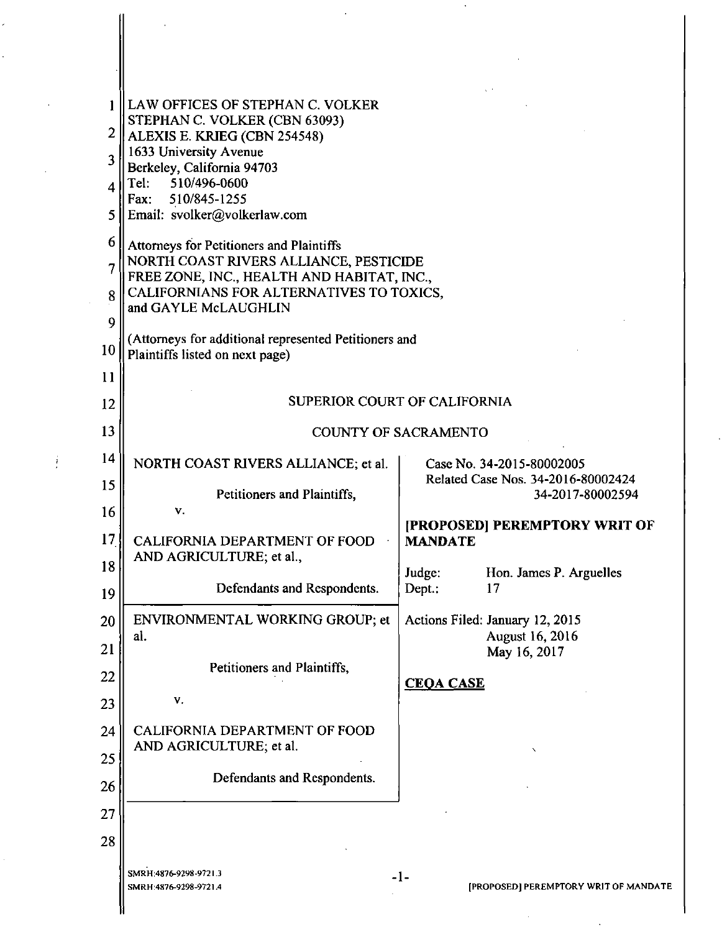| $\overline{2}$ | LAW OFFICES OF STEPHAN C. VOLKER<br>STEPHAN C. VOLKER (CBN 63093)                  |                  |                                                        |  |  |  |  |  |
|----------------|------------------------------------------------------------------------------------|------------------|--------------------------------------------------------|--|--|--|--|--|
| 3              | ALEXIS E. KRIEG (CBN 254548)<br>1633 University Avenue                             |                  |                                                        |  |  |  |  |  |
|                | Berkeley, California 94703<br>Tel: 510/496-0600                                    |                  |                                                        |  |  |  |  |  |
| 4              | Fax: 510/845-1255                                                                  |                  |                                                        |  |  |  |  |  |
| 5              | Email: svolker@volkerlaw.com                                                       |                  |                                                        |  |  |  |  |  |
| 6              | Attorneys for Petitioners and Plaintiffs<br>NORTH COAST RIVERS ALLIANCE, PESTICIDE |                  |                                                        |  |  |  |  |  |
| 7              | FREE ZONE, INC., HEALTH AND HABITAT, INC.,                                         |                  |                                                        |  |  |  |  |  |
| 8              | CALIFORNIANS FOR ALTERNATIVES TO TOXICS,<br>and GAYLE McLAUGHLIN                   |                  |                                                        |  |  |  |  |  |
| 9              | (Attorneys for additional represented Petitioners and                              |                  |                                                        |  |  |  |  |  |
| 10             | Plaintiffs listed on next page)                                                    |                  |                                                        |  |  |  |  |  |
| 11             |                                                                                    |                  |                                                        |  |  |  |  |  |
| 12             | <b>SUPERIOR COURT OF CALIFORNIA</b>                                                |                  |                                                        |  |  |  |  |  |
| 13             | <b>COUNTY OF SACRAMENTO</b>                                                        |                  |                                                        |  |  |  |  |  |
| 14             | NORTH COAST RIVERS ALLIANCE; et al.                                                |                  | Case No. 34-2015-80002005                              |  |  |  |  |  |
| 15             | Petitioners and Plaintiffs,                                                        |                  | Related Case Nos. 34-2016-80002424<br>34-2017-80002594 |  |  |  |  |  |
| 16             | v.                                                                                 |                  | [PROPOSED] PEREMPTORY WRIT OF                          |  |  |  |  |  |
| 17             | CALIFORNIA DEPARTMENT OF FOOD                                                      | <b>MANDATE</b>   |                                                        |  |  |  |  |  |
| 18             | AND AGRICULTURE; et al.,                                                           | Judge:           | Hon. James P. Arguelles                                |  |  |  |  |  |
| 19             | Defendants and Respondents.                                                        | Dept.:           | 17 <sub>1</sub>                                        |  |  |  |  |  |
| 20             | ENVIRONMENTAL WORKING GROUP; et                                                    |                  | Actions Filed: January 12, 2015                        |  |  |  |  |  |
| 21             | al.                                                                                |                  | August 16, 2016<br>May 16, 2017                        |  |  |  |  |  |
| 22             | Petitioners and Plaintiffs,                                                        |                  |                                                        |  |  |  |  |  |
| 23             | V.                                                                                 | <b>CEQA CASE</b> |                                                        |  |  |  |  |  |
| 24             | CALIFORNIA DEPARTMENT OF FOOD                                                      |                  |                                                        |  |  |  |  |  |
| 25             | AND AGRICULTURE; et al.                                                            |                  | N                                                      |  |  |  |  |  |
| 26             | Defendants and Respondents.                                                        |                  |                                                        |  |  |  |  |  |
| 27             |                                                                                    |                  |                                                        |  |  |  |  |  |
|                |                                                                                    |                  |                                                        |  |  |  |  |  |
| 28             |                                                                                    |                  |                                                        |  |  |  |  |  |
|                | SMRH 4876-9298-9721.3<br>SMRH 4876-9298-9721.4                                     | $-1-$            | [PROPOSED] PEREMPTORY WRIT OF MANDATE                  |  |  |  |  |  |
|                |                                                                                    |                  |                                                        |  |  |  |  |  |

 $\mathcal{A}^{\mathrm{c}}$  ,  $\mathcal{A}$ 

 $\sim 10^7$ 

 $\ddot{\phantom{0}}$ 

 $\sim$ 

 $\ddot{\phantom{0}}$ 

ł

 $\hat{\boldsymbol{\beta}}$ 

 $\ddot{\phantom{0}}$ 

 $\ddot{\phantom{0}}$ 

 $\sim$ 

 $\mathcal{A}^{\pm}$ 

 $\frac{1}{k}$ 

 $\epsilon$ 

 $\hat{\epsilon}$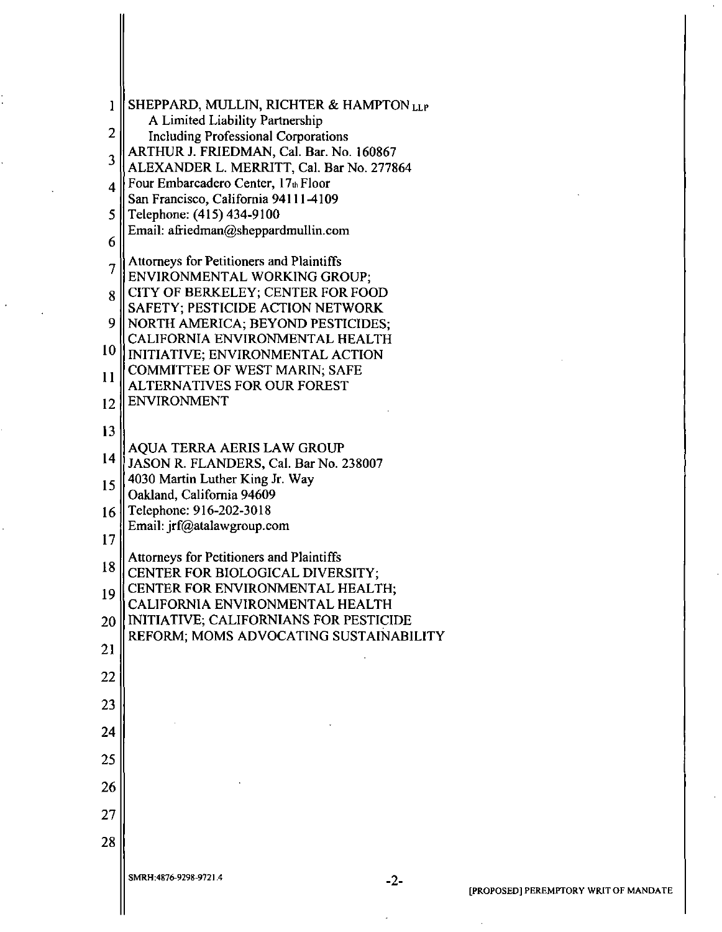| 1                       | SHEPPARD, MULLIN, RICHTER & HAMPTON LLP                                               |                    |
|-------------------------|---------------------------------------------------------------------------------------|--------------------|
| $\overline{c}$          | A Limited Liability Partnership<br><b>Including Professional Corporations</b>         |                    |
| 3                       | ARTHUR J. FRIEDMAN, Cal. Bar. No. 160867<br>ALEXANDER L. MERRITT, Cal. Bar No. 277864 |                    |
| $\overline{\mathbf{4}}$ | Four Embarcadero Center, 17th Floor                                                   |                    |
| 5                       | San Francisco, California 94111-4109<br>Telephone: (415) 434-9100                     |                    |
| 6                       | Email: afriedman@sheppardmullin.com                                                   |                    |
| 7                       | Attorneys for Petitioners and Plaintiffs                                              |                    |
| 8                       | ENVIRONMENTAL WORKING GROUP;<br>CITY OF BERKELEY; CENTER FOR FOOD                     |                    |
|                         | SAFETY; PESTICIDE ACTION NETWORK                                                      |                    |
| 9                       | NORTH AMERICA; BEYOND PESTICIDES;<br>CALIFORNIA ENVIRONMENTAL HEALTH                  |                    |
| 10                      | INITIATIVE; ENVIRONMENTAL ACTION<br><b>COMMITTEE OF WEST MARIN; SAFE</b>              |                    |
| 11                      | <b>ALTERNATIVES FOR OUR FOREST</b>                                                    |                    |
| 12                      | <b>ENVIRONMENT</b>                                                                    |                    |
| 13                      | <b>AQUA TERRA AERIS LAW GROUP</b>                                                     |                    |
| 14                      | JASON R. FLANDERS, Cal. Bar No. 238007                                                |                    |
| 15                      | 4030 Martin Luther King Jr. Way<br>Oakland, California 94609                          |                    |
| 16                      | Telephone: 916-202-3018<br>Email: jrf@atalawgroup.com                                 |                    |
| 17                      |                                                                                       |                    |
| 18                      | Attorneys for Petitioners and Plaintiffs<br>CENTER FOR BIOLOGICAL DIVERSITY;          |                    |
| 19                      | CENTER FOR ENVIRONMENTAL HEALTH;                                                      |                    |
| 20                      | CALIFORNIA ENVIRONMENTAL HEALTH<br>INITIATIVE; CALIFORNIANS FOR PESTICIDE             |                    |
| 21                      | REFORM; MOMS ADVOCATING SUSTAINABILITY                                                |                    |
| 22                      |                                                                                       |                    |
| 23                      |                                                                                       |                    |
| 24                      |                                                                                       |                    |
| 25                      |                                                                                       |                    |
| 26                      |                                                                                       |                    |
|                         |                                                                                       |                    |
| 27                      |                                                                                       |                    |
| 28                      |                                                                                       |                    |
|                         | SMRH:4876-9298-9721.4<br>-2-                                                          | [PROPOSED] PEREMPT |
|                         |                                                                                       |                    |
|                         |                                                                                       |                    |

 $\frac{1}{2}$ 

¥.

 $\epsilon$ 

 $\hat{\mathcal{A}}$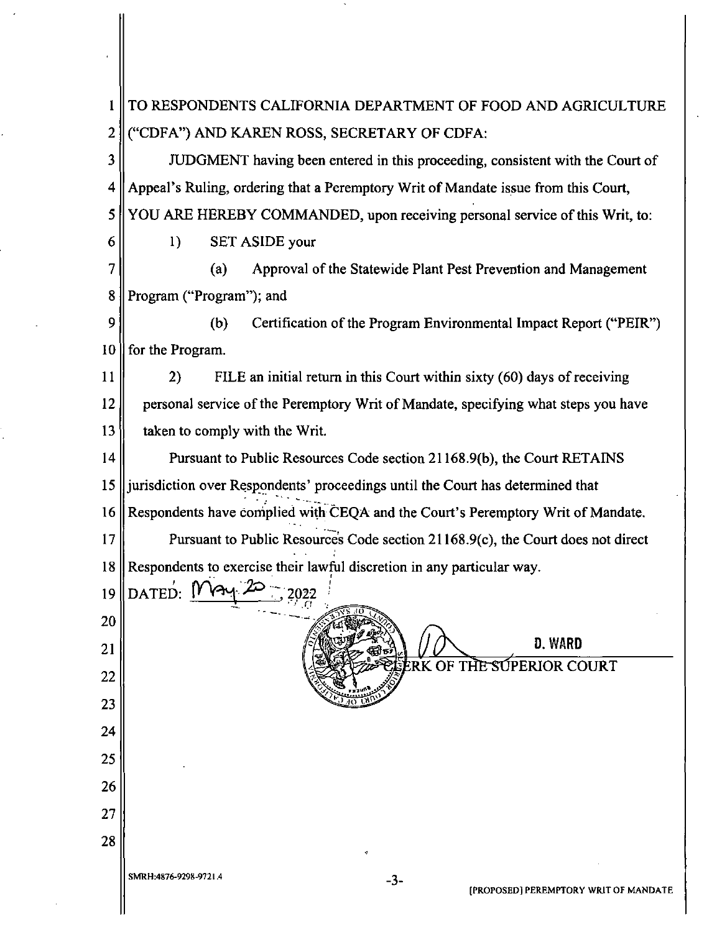|                | TO RESPONDENTS CALIFORNIA DEPARTMENT OF FOOD AND AGRICULTURE                       |  |  |  |  |  |
|----------------|------------------------------------------------------------------------------------|--|--|--|--|--|
| $\overline{2}$ | ("CDFA") AND KAREN ROSS, SECRETARY OF CDFA:                                        |  |  |  |  |  |
| 3              | JUDGMENT having been entered in this proceeding, consistent with the Court of      |  |  |  |  |  |
| 4              | Appeal's Ruling, ordering that a Peremptory Writ of Mandate issue from this Court, |  |  |  |  |  |
| 5              | YOU ARE HEREBY COMMANDED, upon receiving personal service of this Writ, to:        |  |  |  |  |  |
| 6              | <b>SET ASIDE your</b><br>1)                                                        |  |  |  |  |  |
| 7              | Approval of the Statewide Plant Pest Prevention and Management<br>(a)              |  |  |  |  |  |
| 8              | Program ("Program"); and                                                           |  |  |  |  |  |
| 9              | Certification of the Program Environmental Impact Report ("PEIR")<br>(b)           |  |  |  |  |  |
| 10             | for the Program.                                                                   |  |  |  |  |  |
| 11             | FILE an initial return in this Court within sixty (60) days of receiving<br>2)     |  |  |  |  |  |
| 12             | personal service of the Peremptory Writ of Mandate, specifying what steps you have |  |  |  |  |  |
| 13             | taken to comply with the Writ.                                                     |  |  |  |  |  |
| 14             | Pursuant to Public Resources Code section 21168.9(b), the Court RETAINS            |  |  |  |  |  |
| 15             | jurisdiction over Respondents' proceedings until the Court has determined that     |  |  |  |  |  |
| 16             | Respondents have complied with CEQA and the Court's Peremptory Writ of Mandate.    |  |  |  |  |  |
| 17             | Pursuant to Public Resources Code section 21168.9(c), the Court does not direct    |  |  |  |  |  |
| 18             | Respondents to exercise their lawful discretion in any particular way.             |  |  |  |  |  |
| 19             | DATED: MA                                                                          |  |  |  |  |  |
| 20             | <b>D. WARD</b>                                                                     |  |  |  |  |  |
| 21             | THE SUPERIOR COURT<br>ERK OF                                                       |  |  |  |  |  |
| 22             |                                                                                    |  |  |  |  |  |
| 23             |                                                                                    |  |  |  |  |  |
| 24             |                                                                                    |  |  |  |  |  |
| 25<br>26       |                                                                                    |  |  |  |  |  |
| 27             |                                                                                    |  |  |  |  |  |
| 28             |                                                                                    |  |  |  |  |  |
|                | SMRH:4876-9298-9721.4<br>$-3-$                                                     |  |  |  |  |  |
|                | [PROPOSED] PEREMPTORY WRIT OF MANDATE                                              |  |  |  |  |  |

 $\mathsf{II}$